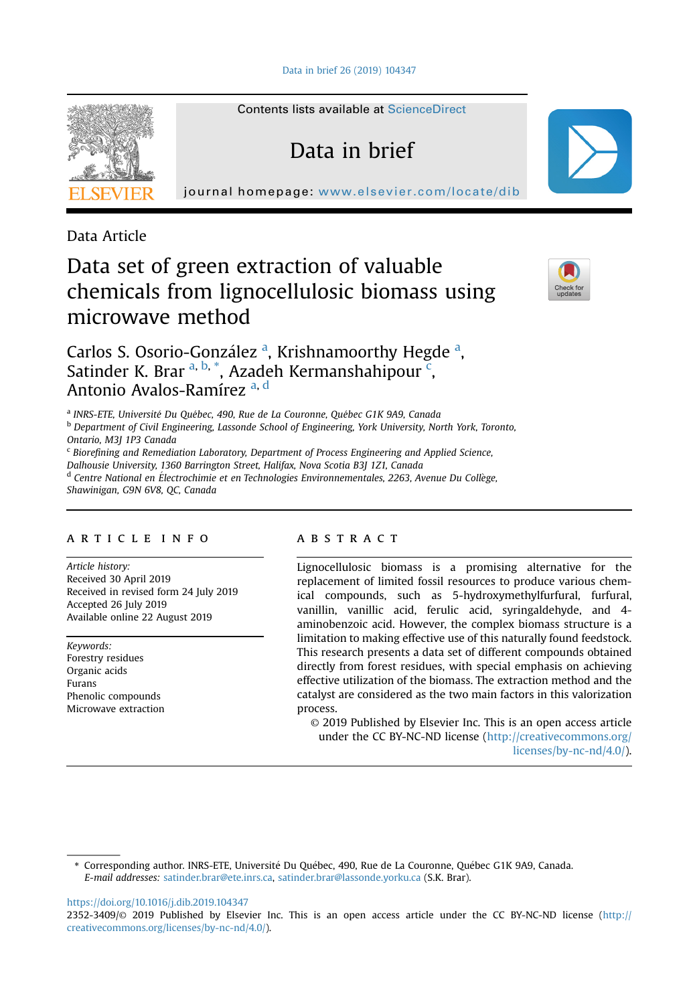[Data in brief 26 \(2019\) 104347](https://doi.org/10.1016/j.dib.2019.104347)



Contents lists available at [ScienceDirect](www.sciencedirect.com/science/journal/23523409)

Data in brief

journal homepage: <www.elsevier.com/locate/dib>

Data Article

# Data set of green extraction of valuable chemicals from lignocellulosic biomass using microwave method



Carlos S. Osorio-González<sup>a</sup>, Krishnamoorthy Hegde<sup>a</sup>, Satinder K. Brar  $a, b, *$ , Azadeh Kermanshahipour  $\overline{c}$ , Antonio Avalos-Ramírez a, <sup>d</sup>

a INRS-ETE, Université Du Québec, 490, Rue de La Couronne, Québec G1K 9A9, Canada

<sup>b</sup> Department of Civil Engineering, Lassonde School of Engineering, York University, North York, Toronto,

Ontario, M3J 1P3 Canada

<sup>c</sup> Biorefining and Remediation Laboratory, Department of Process Engineering and Applied Science,

Dalhousie University, 1360 Barrington Street, Halifax, Nova Scotia B3J 1Z1, Canada

<sup>d</sup> Centre National en Électrochimie et en Technologies Environnementales, 2263, Avenue Du Collège, Shawinigan, G9N 6V8, QC, Canada

# article info

Article history: Received 30 April 2019 Received in revised form 24 July 2019 Accepted 26 July 2019 Available online 22 August 2019

Keywords: Forestry residues Organic acids Furans Phenolic compounds Microwave extraction

# **ABSTRACT**

Lignocellulosic biomass is a promising alternative for the replacement of limited fossil resources to produce various chemical compounds, such as 5-hydroxymethylfurfural, furfural, vanillin, vanillic acid, ferulic acid, syringaldehyde, and 4 aminobenzoic acid. However, the complex biomass structure is a limitation to making effective use of this naturally found feedstock. This research presents a data set of different compounds obtained directly from forest residues, with special emphasis on achieving effective utilization of the biomass. The extraction method and the catalyst are considered as the two main factors in this valorization process.

© 2019 Published by Elsevier Inc. This is an open access article under the CC BY-NC-ND license ([http://creativecommons.org/](http://creativecommons.org/licenses/by-nc-nd/4.0/) [licenses/by-nc-nd/4.0/](http://creativecommons.org/licenses/by-nc-nd/4.0/)).

\* Corresponding author. INRS-ETE, Université Du Québec, 490, Rue de La Couronne, Québec G1K 9A9, Canada. E-mail addresses: [satinder.brar@ete.inrs.ca,](mailto:satinder.brar@ete.inrs.ca) [satinder.brar@lassonde.yorku.ca](mailto:satinder.brar@lassonde.yorku.ca) (S.K. Brar).

<https://doi.org/10.1016/j.dib.2019.104347>

<sup>2352-3409/</sup>© 2019 Published by Elsevier Inc. This is an open access article under the CC BY-NC-ND license [\(http://](http://creativecommons.org/licenses/by-nc-nd/4.0/) [creativecommons.org/licenses/by-nc-nd/4.0/\)](http://creativecommons.org/licenses/by-nc-nd/4.0/).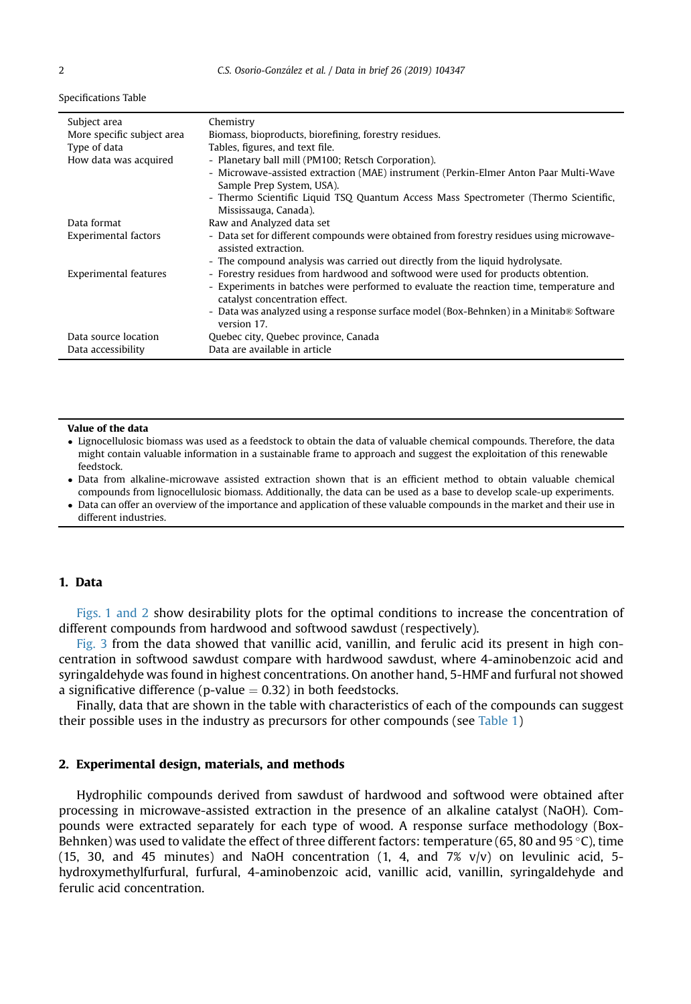Specifications Table

| Subject area                 | Chemistry                                                                                                                |  |  |
|------------------------------|--------------------------------------------------------------------------------------------------------------------------|--|--|
| More specific subject area   | Biomass, bioproducts, biorefining, forestry residues.                                                                    |  |  |
| Type of data                 | Tables, figures, and text file.                                                                                          |  |  |
| How data was acquired        | - Planetary ball mill (PM100; Retsch Corporation).                                                                       |  |  |
|                              | - Microwave-assisted extraction (MAE) instrument (Perkin-Elmer Anton Paar Multi-Wave<br>Sample Prep System, USA).        |  |  |
|                              | - Thermo Scientific Liquid TSO Quantum Access Mass Spectrometer (Thermo Scientific,<br>Mississauga, Canada).             |  |  |
| Data format                  | Raw and Analyzed data set                                                                                                |  |  |
| Experimental factors         | - Data set for different compounds were obtained from forestry residues using microwave-<br>assisted extraction.         |  |  |
|                              | - The compound analysis was carried out directly from the liquid hydrolysate.                                            |  |  |
| <b>Experimental features</b> | - Forestry residues from hardwood and softwood were used for products obtention.                                         |  |  |
|                              | - Experiments in batches were performed to evaluate the reaction time, temperature and<br>catalyst concentration effect. |  |  |
|                              | - Data was analyzed using a response surface model (Box-Behnken) in a Minitab® Software<br>version 17.                   |  |  |
| Data source location         | Quebec city, Quebec province, Canada                                                                                     |  |  |
| Data accessibility           | Data are available in article                                                                                            |  |  |

#### Value of the data

 Lignocellulosic biomass was used as a feedstock to obtain the data of valuable chemical compounds. Therefore, the data might contain valuable information in a sustainable frame to approach and suggest the exploitation of this renewable feedstock.

 Data from alkaline-microwave assisted extraction shown that is an efficient method to obtain valuable chemical compounds from lignocellulosic biomass. Additionally, the data can be used as a base to develop scale-up experiments.

 Data can offer an overview of the importance and application of these valuable compounds in the market and their use in different industries.

#### 1. Data

[Figs. 1 and 2](#page-2-0) show desirability plots for the optimal conditions to increase the concentration of different compounds from hardwood and softwood sawdust (respectively).

[Fig. 3](#page-3-0) from the data showed that vanillic acid, vanillin, and ferulic acid its present in high concentration in softwood sawdust compare with hardwood sawdust, where 4-aminobenzoic acid and syringaldehyde was found in highest concentrations. On another hand, 5-HMF and furfural not showed a significative difference (p-value  $= 0.32$ ) in both feedstocks.

Finally, data that are shown in the table with characteristics of each of the compounds can suggest their possible uses in the industry as precursors for other compounds (see [Table 1](#page-4-0))

#### 2. Experimental design, materials, and methods

Hydrophilic compounds derived from sawdust of hardwood and softwood were obtained after processing in microwave-assisted extraction in the presence of an alkaline catalyst (NaOH). Compounds were extracted separately for each type of wood. A response surface methodology (Box-Behnken) was used to validate the effect of three different factors: temperature (65, 80 and 95 °C), time (15, 30, and 45 minutes) and NaOH concentration  $(1, 4,$  and  $7\%$  v/v) on levulinic acid, 5hydroxymethylfurfural, furfural, 4-aminobenzoic acid, vanillic acid, vanillin, syringaldehyde and ferulic acid concentration.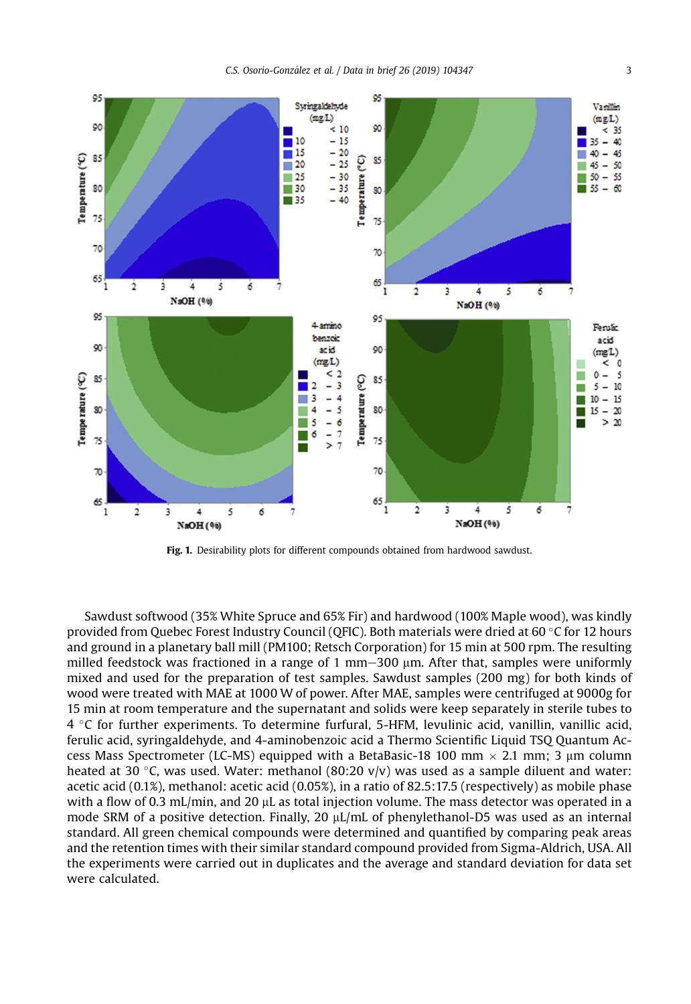<span id="page-2-0"></span>

Fig. 1. Desirability plots for different compounds obtained from hardwood sawdust.

Sawdust softwood (35% White Spruce and 65% Fir) and hardwood (100% Maple wood), was kindly provided from Quebec Forest Industry Council (QFIC). Both materials were dried at 60 °C for 12 hours and ground in a planetary ball mill (PM100; Retsch Corporation) for 15 min at 500 rpm. The resulting milled feedstock was fractioned in a range of 1 mm $-300$  µm. After that, samples were uniformly mixed and used for the preparation of test samples. Sawdust samples (200 mg) for both kinds of wood were treated with MAE at 1000 W of power. After MAE, samples were centrifuged at 9000g for 15 min at room temperature and the supernatant and solids were keep separately in sterile tubes to 4 °C for further experiments. To determine furfural, 5-HFM, levulinic acid, vanillin, vanillic acid, ferulic acid, syringaldehyde, and 4-aminobenzoic acid a Thermo Scientific Liquid TSQ Quantum Access Mass Spectrometer (LC-MS) equipped with a BetaBasic-18 100 mm  $\times$  2.1 mm; 3 µm column heated at 30 °C, was used. Water: methanol (80:20 v/v) was used as a sample diluent and water: acetic acid (0.1%), methanol: acetic acid (0.05%), in a ratio of 82.5:17.5 (respectively) as mobile phase with a flow of 0.3 mL/min, and 20  $\mu$ L as total injection volume. The mass detector was operated in a mode SRM of a positive detection. Finally, 20 µL/mL of phenylethanol-D5 was used as an internal standard. All green chemical compounds were determined and quantified by comparing peak areas and the retention times with their similar standard compound provided from Sigma-Aldrich, USA. All the experiments were carried out in duplicates and the average and standard deviation for data set were calculated.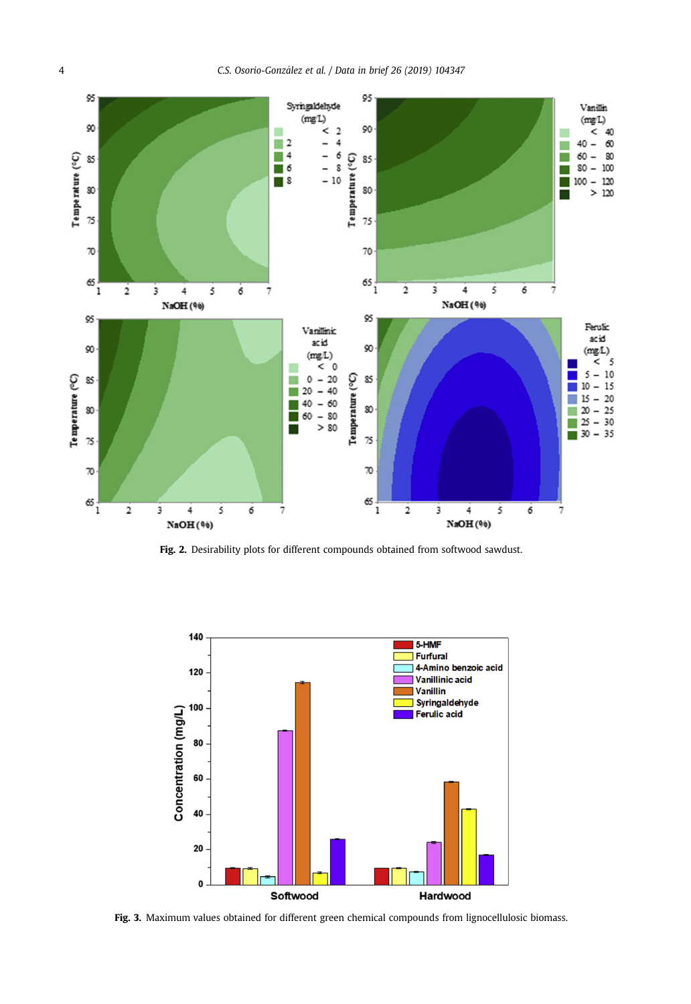<span id="page-3-0"></span>

Fig. 2. Desirability plots for different compounds obtained from softwood sawdust.



Fig. 3. Maximum values obtained for different green chemical compounds from lignocellulosic biomass.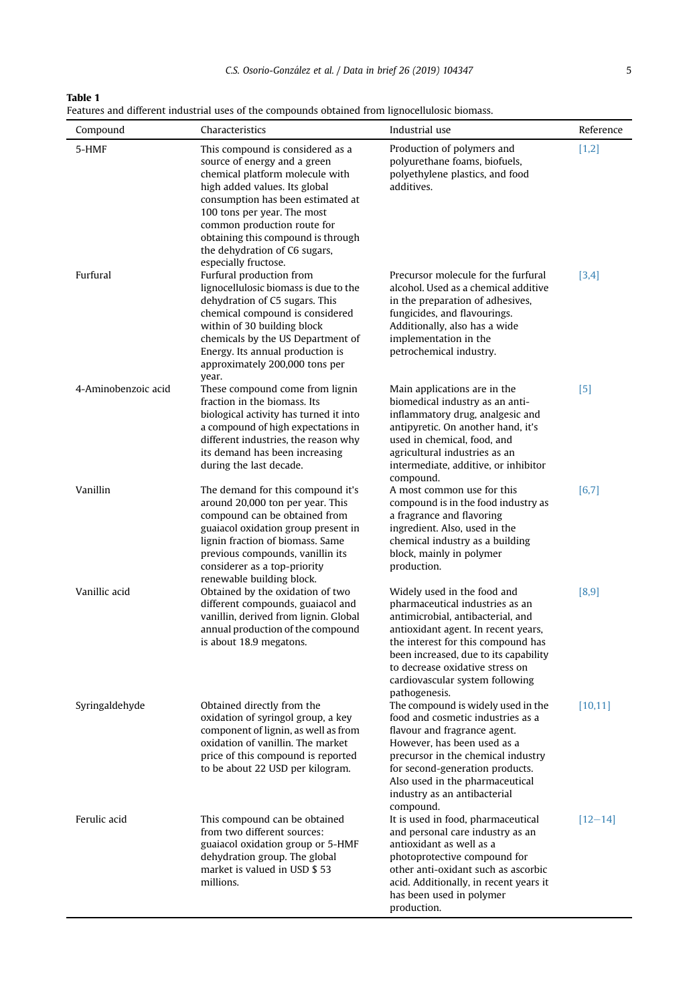<span id="page-4-0"></span>Table 1

Features and different industrial uses of the compounds obtained from lignocellulosic biomass.

| Compound            | Characteristics                                                                                                                                                                                                                                                                                                                        | Industrial use                                                                                                                                                                                                                                                                                                   | Reference   |
|---------------------|----------------------------------------------------------------------------------------------------------------------------------------------------------------------------------------------------------------------------------------------------------------------------------------------------------------------------------------|------------------------------------------------------------------------------------------------------------------------------------------------------------------------------------------------------------------------------------------------------------------------------------------------------------------|-------------|
| 5-HMF               | This compound is considered as a<br>source of energy and a green<br>chemical platform molecule with<br>high added values. Its global<br>consumption has been estimated at<br>100 tons per year. The most<br>common production route for<br>obtaining this compound is through<br>the dehydration of C6 sugars,<br>especially fructose. | Production of polymers and<br>polyurethane foams, biofuels,<br>polyethylene plastics, and food<br>additives.                                                                                                                                                                                                     | [1,2]       |
| Furfural            | Furfural production from<br>lignocellulosic biomass is due to the<br>dehydration of C5 sugars. This<br>chemical compound is considered<br>within of 30 building block<br>chemicals by the US Department of<br>Energy. Its annual production is<br>approximately 200,000 tons per<br>year.                                              | Precursor molecule for the furfural<br>alcohol. Used as a chemical additive<br>in the preparation of adhesives,<br>fungicides, and flavourings.<br>Additionally, also has a wide<br>implementation in the<br>petrochemical industry.                                                                             | [3,4]       |
| 4-Aminobenzoic acid | These compound come from lignin<br>fraction in the biomass. Its<br>biological activity has turned it into<br>a compound of high expectations in<br>different industries, the reason why<br>its demand has been increasing<br>during the last decade.                                                                                   | Main applications are in the<br>biomedical industry as an anti-<br>inflammatory drug, analgesic and<br>antipyretic. On another hand, it's<br>used in chemical, food, and<br>agricultural industries as an<br>intermediate, additive, or inhibitor<br>compound.                                                   | $[5]$       |
| Vanillin            | The demand for this compound it's<br>around 20,000 ton per year. This<br>compound can be obtained from<br>guaiacol oxidation group present in<br>lignin fraction of biomass. Same<br>previous compounds, vanillin its<br>considerer as a top-priority<br>renewable building block.                                                     | A most common use for this<br>compound is in the food industry as<br>a fragrance and flavoring<br>ingredient. Also, used in the<br>chemical industry as a building<br>block, mainly in polymer<br>production.                                                                                                    | [6,7]       |
| Vanillic acid       | Obtained by the oxidation of two<br>different compounds, guaiacol and<br>vanillin, derived from lignin. Global<br>annual production of the compound<br>is about 18.9 megatons.                                                                                                                                                         | Widely used in the food and<br>pharmaceutical industries as an<br>antimicrobial, antibacterial, and<br>antioxidant agent. In recent years,<br>the interest for this compound has<br>been increased, due to its capability<br>to decrease oxidative stress on<br>cardiovascular system following<br>pathogenesis. | [8,9]       |
| Syringaldehyde      | Obtained directly from the<br>oxidation of syringol group, a key<br>component of lignin, as well as from<br>oxidation of vanillin. The market<br>price of this compound is reported<br>to be about 22 USD per kilogram.                                                                                                                | The compound is widely used in the<br>food and cosmetic industries as a<br>flavour and fragrance agent.<br>However, has been used as a<br>precursor in the chemical industry<br>for second-generation products.<br>Also used in the pharmaceutical<br>industry as an antibacterial<br>compound.                  | [10, 11]    |
| Ferulic acid        | This compound can be obtained<br>from two different sources:<br>guaiacol oxidation group or 5-HMF<br>dehydration group. The global<br>market is valued in USD \$ 53<br>millions.                                                                                                                                                       | It is used in food, pharmaceutical<br>and personal care industry as an<br>antioxidant as well as a<br>photoprotective compound for<br>other anti-oxidant such as ascorbic<br>acid. Additionally, in recent years it<br>has been used in polymer<br>production.                                                   | $[12 - 14]$ |